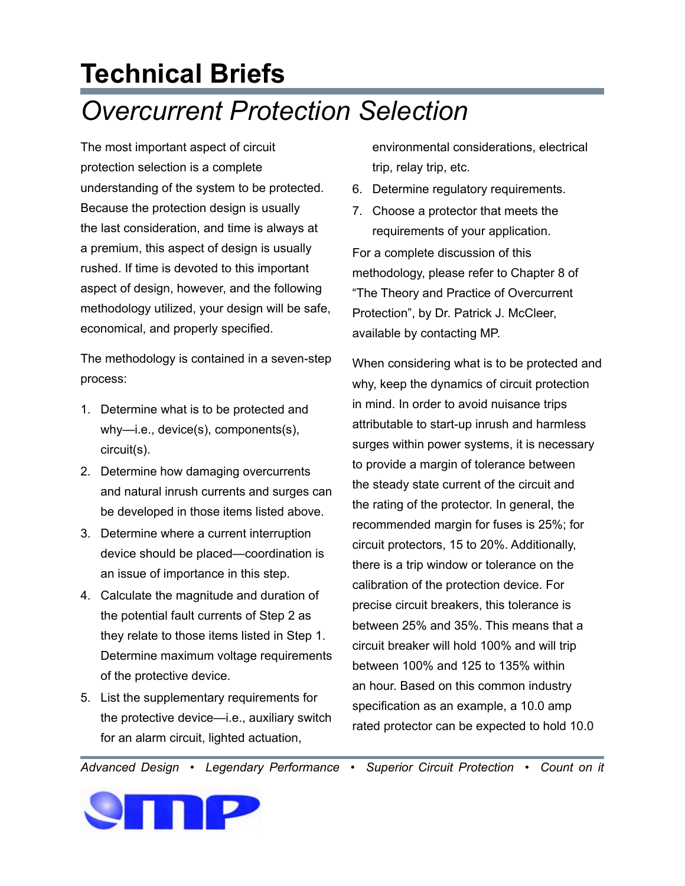## **Technical Briefs** *Overcurrent Protection Selection*

The most important aspect of circuit protection selection is a complete understanding of the system to be protected. Because the protection design is usually the last consideration, and time is always at a premium, this aspect of design is usually rushed. If time is devoted to this important aspect of design, however, and the following methodology utilized, your design will be safe, economical, and properly specified.

The methodology is contained in a seven-step process:

- 1. Determine what is to be protected and why—i.e., device(s), components(s), circuit(s).
- 2. Determine how damaging overcurrents and natural inrush currents and surges can be developed in those items listed above.
- 3. Determine where a current interruption device should be placed—coordination is an issue of importance in this step.
- 4. Calculate the magnitude and duration of the potential fault currents of Step 2 as they relate to those items listed in Step 1. Determine maximum voltage requirements of the protective device.
- 5. List the supplementary requirements for the protective device—i.e., auxiliary switch for an alarm circuit, lighted actuation,

environmental considerations, electrical trip, relay trip, etc.

- 6. Determine regulatory requirements.
- 7. Choose a protector that meets the requirements of your application. For a complete discussion of this methodology, please refer to Chapter 8 of "The Theory and Practice of Overcurrent Protection", by Dr. Patrick J. McCleer, available by contacting MP.

When considering what is to be protected and why, keep the dynamics of circuit protection in mind. In order to avoid nuisance trips attributable to start-up inrush and harmless surges within power systems, it is necessary to provide a margin of tolerance between the steady state current of the circuit and the rating of the protector. In general, the recommended margin for fuses is 25%; for circuit protectors, 15 to 20%. Additionally, there is a trip window or tolerance on the calibration of the protection device. For precise circuit breakers, this tolerance is between 25% and 35%. This means that a circuit breaker will hold 100% and will trip between 100% and 125 to 135% within an hour. Based on this common industry specification as an example, a 10.0 amp rated protector can be expected to hold 10.0

*Advanced Design • Legendary Performance • Superior Circuit Protection • Count on it*